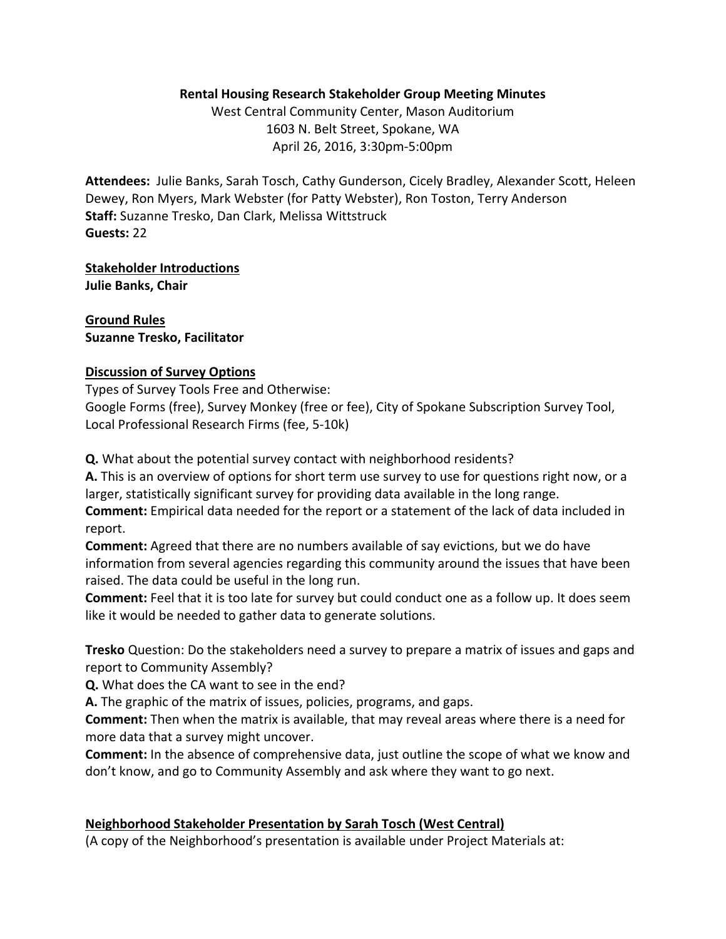### **Rental Housing Research Stakeholder Group Meeting Minutes**

West Central Community Center, Mason Auditorium 1603 N. Belt Street, Spokane, WA April 26, 2016, 3:30pm‐5:00pm

**Attendees:** Julie Banks, Sarah Tosch, Cathy Gunderson, Cicely Bradley, Alexander Scott, Heleen Dewey, Ron Myers, Mark Webster (for Patty Webster), Ron Toston, Terry Anderson **Staff:** Suzanne Tresko, Dan Clark, Melissa Wittstruck **Guests:** 22

**Stakeholder Introductions Julie Banks, Chair**

**Ground Rules Suzanne Tresko, Facilitator**

### **Discussion of Survey Options**

Types of Survey Tools Free and Otherwise:

Google Forms (free), Survey Monkey (free or fee), City of Spokane Subscription Survey Tool, Local Professional Research Firms (fee, 5‐10k)

**Q.** What about the potential survey contact with neighborhood residents?

**A.** This is an overview of options for short term use survey to use for questions right now, or a larger, statistically significant survey for providing data available in the long range.

**Comment:** Empirical data needed for the report or a statement of the lack of data included in report.

**Comment:** Agreed that there are no numbers available of say evictions, but we do have information from several agencies regarding this community around the issues that have been raised. The data could be useful in the long run.

**Comment:** Feel that it is too late for survey but could conduct one as a follow up. It does seem like it would be needed to gather data to generate solutions.

**Tresko** Question: Do the stakeholders need a survey to prepare a matrix of issues and gaps and report to Community Assembly?

**Q.** What does the CA want to see in the end?

**A.** The graphic of the matrix of issues, policies, programs, and gaps.

**Comment:** Then when the matrix is available, that may reveal areas where there is a need for more data that a survey might uncover.

**Comment:** In the absence of comprehensive data, just outline the scope of what we know and don't know, and go to Community Assembly and ask where they want to go next.

## **Neighborhood Stakeholder Presentation by Sarah Tosch (West Central)**

(A copy of the Neighborhood's presentation is available under Project Materials at: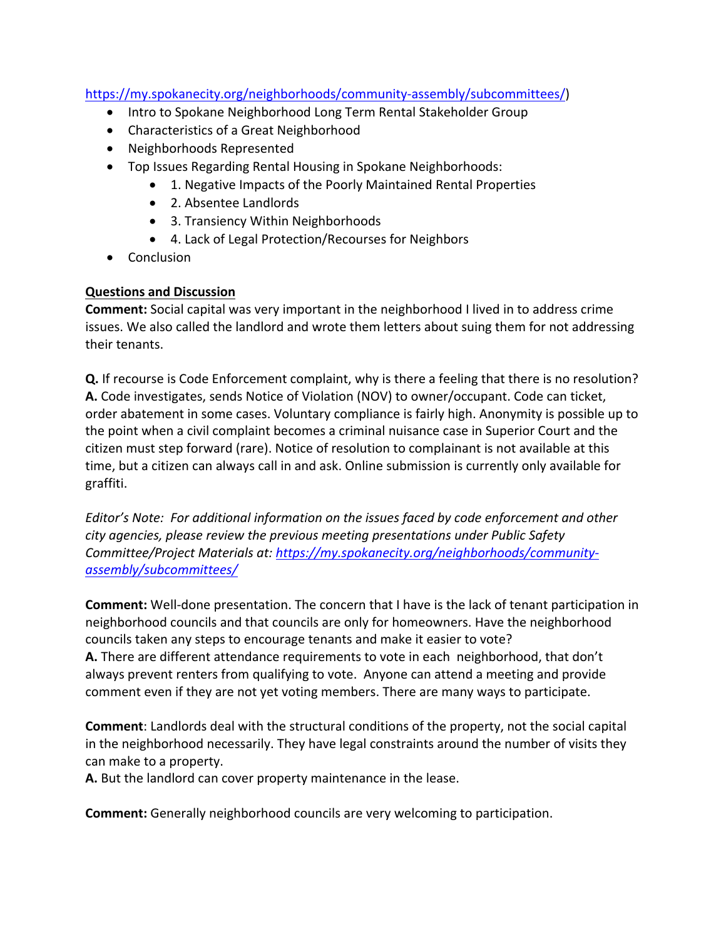# https://my.spokanecity.org/neighborhoods/community‐assembly/subcommittees/)

- Intro to Spokane Neighborhood Long Term Rental Stakeholder Group
- Characteristics of a Great Neighborhood
- Neighborhoods Represented
- Top Issues Regarding Rental Housing in Spokane Neighborhoods:
	- 1. Negative Impacts of the Poorly Maintained Rental Properties
	- 2. Absentee Landlords
	- 3. Transiency Within Neighborhoods
	- 4. Lack of Legal Protection/Recourses for Neighbors
- Conclusion

# **Questions and Discussion**

**Comment:** Social capital was very important in the neighborhood I lived in to address crime issues. We also called the landlord and wrote them letters about suing them for not addressing their tenants.

**Q.** If recourse is Code Enforcement complaint, why is there a feeling that there is no resolution? **A.** Code investigates, sends Notice of Violation (NOV) to owner/occupant. Code can ticket, order abatement in some cases. Voluntary compliance is fairly high. Anonymity is possible up to the point when a civil complaint becomes a criminal nuisance case in Superior Court and the citizen must step forward (rare). Notice of resolution to complainant is not available at this time, but a citizen can always call in and ask. Online submission is currently only available for graffiti.

*Editor's Note: For additional information on the issues faced by code enforcement and other city agencies, please review the previous meeting presentations under Public Safety Committee/Project Materials at: https://my.spokanecity.org/neighborhoods/community‐ assembly/subcommittees/*

**Comment:** Well‐done presentation. The concern that I have is the lack of tenant participation in neighborhood councils and that councils are only for homeowners. Have the neighborhood councils taken any steps to encourage tenants and make it easier to vote?

**A.** There are different attendance requirements to vote in each neighborhood, that don't always prevent renters from qualifying to vote. Anyone can attend a meeting and provide comment even if they are not yet voting members. There are many ways to participate.

**Comment**: Landlords deal with the structural conditions of the property, not the social capital in the neighborhood necessarily. They have legal constraints around the number of visits they can make to a property.

**A.** But the landlord can cover property maintenance in the lease.

**Comment:** Generally neighborhood councils are very welcoming to participation.